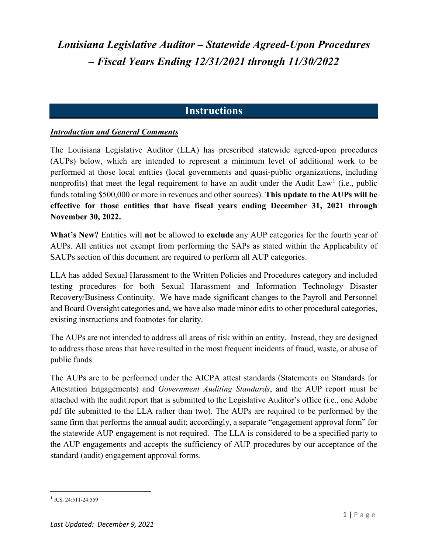### **Instructions**

#### *Introduction and General Comments*

The Louisiana Legislative Auditor (LLA) has prescribed statewide agreed-upon procedures (AUPs) below, which are intended to represent a minimum level of additional work to be performed at those local entities (local governments and quasi-public organizations, including nonprofits) that meet the legal requirement to have an audit under the Audit Law<sup>[1](#page-0-0)</sup> (i.e., public funds totaling \$500,000 or more in revenues and other sources). **This update to the AUPs will be effective for those entities that have fiscal years ending December 31, 2021 through November 30, 2022.**

**What's New?** Entities will **not** be allowed to **exclude** any AUP categories for the fourth year of AUPs. All entities not exempt from performing the SAPs as stated within the Applicability of SAUPs section of this document are required to perform all AUP categories.

LLA has added Sexual Harassment to the Written Policies and Procedures category and included testing procedures for both Sexual Harassment and Information Technology Disaster Recovery/Business Continuity. We have made significant changes to the Payroll and Personnel and Board Oversight categories and, we have also made minor edits to other procedural categories, existing instructions and footnotes for clarity.

The AUPs are not intended to address all areas of risk within an entity. Instead, they are designed to address those areas that have resulted in the most frequent incidents of fraud, waste, or abuse of public funds.

The AUPs are to be performed under the AICPA attest standards (Statements on Standards for Attestation Engagements) and *Government Auditing Standards*, and the AUP report must be attached with the audit report that is submitted to the Legislative Auditor's office (i.e., one Adobe pdf file submitted to the LLA rather than two). The AUPs are required to be performed by the same firm that performs the annual audit; accordingly, a separate "engagement approval form" for the statewide AUP engagement is not required. The LLA is considered to be a specified party to the AUP engagements and accepts the sufficiency of AUP procedures by our acceptance of the standard (audit) engagement approval forms.

<span id="page-0-0"></span> $1$  R.S. 24:511-24:559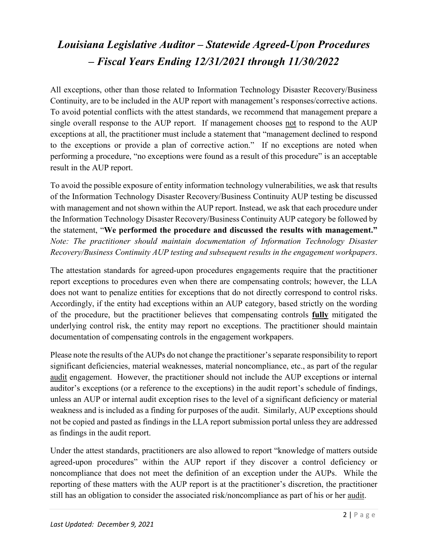All exceptions, other than those related to Information Technology Disaster Recovery/Business Continuity, are to be included in the AUP report with management's responses/corrective actions. To avoid potential conflicts with the attest standards, we recommend that management prepare a single overall response to the AUP report. If management chooses not to respond to the AUP exceptions at all, the practitioner must include a statement that "management declined to respond to the exceptions or provide a plan of corrective action." If no exceptions are noted when performing a procedure, "no exceptions were found as a result of this procedure" is an acceptable result in the AUP report.

To avoid the possible exposure of entity information technology vulnerabilities, we ask that results of the Information Technology Disaster Recovery/Business Continuity AUP testing be discussed with management and not shown within the AUP report. Instead, we ask that each procedure under the Information Technology Disaster Recovery/Business Continuity AUP category be followed by the statement, "**We performed the procedure and discussed the results with management."** *Note: The practitioner should maintain documentation of Information Technology Disaster Recovery/Business Continuity AUP testing and subsequent results in the engagement workpapers*.

The attestation standards for agreed-upon procedures engagements require that the practitioner report exceptions to procedures even when there are compensating controls; however, the LLA does not want to penalize entities for exceptions that do not directly correspond to control risks. Accordingly, if the entity had exceptions within an AUP category, based strictly on the wording of the procedure, but the practitioner believes that compensating controls **fully** mitigated the underlying control risk, the entity may report no exceptions. The practitioner should maintain documentation of compensating controls in the engagement workpapers.

Please note the results of the AUPs do not change the practitioner's separate responsibility to report significant deficiencies, material weaknesses, material noncompliance, etc., as part of the regular audit engagement. However, the practitioner should not include the AUP exceptions or internal auditor's exceptions (or a reference to the exceptions) in the audit report's schedule of findings, unless an AUP or internal audit exception rises to the level of a significant deficiency or material weakness and is included as a finding for purposes of the audit. Similarly, AUP exceptions should not be copied and pasted as findings in the LLA report submission portal unless they are addressed as findings in the audit report.

Under the attest standards, practitioners are also allowed to report "knowledge of matters outside agreed-upon procedures" within the AUP report if they discover a control deficiency or noncompliance that does not meet the definition of an exception under the AUPs. While the reporting of these matters with the AUP report is at the practitioner's discretion, the practitioner still has an obligation to consider the associated risk/noncompliance as part of his or her audit.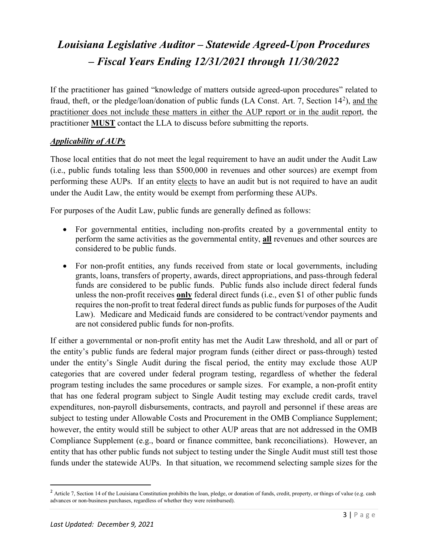If the practitioner has gained "knowledge of matters outside agreed-upon procedures" related to fraud, theft, or the pledge/loan/donation of public funds (LA Const. Art. 7, Section 14<sup>[2](#page-2-0)</sup>), and the practitioner does not include these matters in either the AUP report or in the audit report, the practitioner **MUST** contact the LLA to discuss before submitting the reports.

#### *Applicability of AUPs*

Those local entities that do not meet the legal requirement to have an audit under the Audit Law (i.e., public funds totaling less than \$500,000 in revenues and other sources) are exempt from performing these AUPs. If an entity elects to have an audit but is not required to have an audit under the Audit Law, the entity would be exempt from performing these AUPs.

For purposes of the Audit Law, public funds are generally defined as follows:

- For governmental entities, including non-profits created by a governmental entity to perform the same activities as the governmental entity, **all** revenues and other sources are considered to be public funds.
- For non-profit entities, any funds received from state or local governments, including grants, loans, transfers of property, awards, direct appropriations, and pass-through federal funds are considered to be public funds. Public funds also include direct federal funds unless the non-profit receives **only** federal direct funds (i.e., even \$1 of other public funds requires the non-profit to treat federal direct funds as public funds for purposes of the Audit Law). Medicare and Medicaid funds are considered to be contract/vendor payments and are not considered public funds for non-profits.

If either a governmental or non-profit entity has met the Audit Law threshold, and all or part of the entity's public funds are federal major program funds (either direct or pass-through) tested under the entity's Single Audit during the fiscal period, the entity may exclude those AUP categories that are covered under federal program testing, regardless of whether the federal program testing includes the same procedures or sample sizes. For example, a non-profit entity that has one federal program subject to Single Audit testing may exclude credit cards, travel expenditures, non-payroll disbursements, contracts, and payroll and personnel if these areas are subject to testing under Allowable Costs and Procurement in the OMB Compliance Supplement; however, the entity would still be subject to other AUP areas that are not addressed in the OMB Compliance Supplement (e.g., board or finance committee, bank reconciliations). However, an entity that has other public funds not subject to testing under the Single Audit must still test those funds under the statewide AUPs. In that situation, we recommend selecting sample sizes for the

<span id="page-2-0"></span><sup>&</sup>lt;sup>2</sup> Article 7, Section 14 of the Louisiana Constitution prohibits the loan, pledge, or donation of funds, credit, property, or things of value (e.g. cash advances or non-business purchases, regardless of whether they were reimbursed).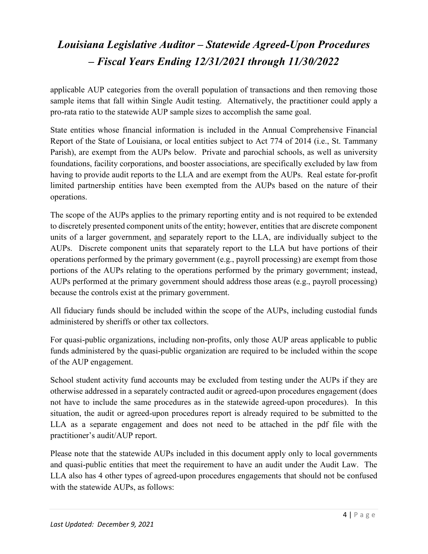applicable AUP categories from the overall population of transactions and then removing those sample items that fall within Single Audit testing. Alternatively, the practitioner could apply a pro-rata ratio to the statewide AUP sample sizes to accomplish the same goal.

State entities whose financial information is included in the Annual Comprehensive Financial Report of the State of Louisiana, or local entities subject to Act 774 of 2014 (i.e., St. Tammany Parish), are exempt from the AUPs below. Private and parochial schools, as well as university foundations, facility corporations, and booster associations, are specifically excluded by law from having to provide audit reports to the LLA and are exempt from the AUPs. Real estate for-profit limited partnership entities have been exempted from the AUPs based on the nature of their operations.

The scope of the AUPs applies to the primary reporting entity and is not required to be extended to discretely presented component units of the entity; however, entities that are discrete component units of a larger government, and separately report to the LLA, are individually subject to the AUPs. Discrete component units that separately report to the LLA but have portions of their operations performed by the primary government (e.g., payroll processing) are exempt from those portions of the AUPs relating to the operations performed by the primary government; instead, AUPs performed at the primary government should address those areas (e.g., payroll processing) because the controls exist at the primary government.

All fiduciary funds should be included within the scope of the AUPs, including custodial funds administered by sheriffs or other tax collectors.

For quasi-public organizations, including non-profits, only those AUP areas applicable to public funds administered by the quasi-public organization are required to be included within the scope of the AUP engagement.

School student activity fund accounts may be excluded from testing under the AUPs if they are otherwise addressed in a separately contracted audit or agreed-upon procedures engagement (does not have to include the same procedures as in the statewide agreed-upon procedures). In this situation, the audit or agreed-upon procedures report is already required to be submitted to the LLA as a separate engagement and does not need to be attached in the pdf file with the practitioner's audit/AUP report.

Please note that the statewide AUPs included in this document apply only to local governments and quasi-public entities that meet the requirement to have an audit under the Audit Law. The LLA also has 4 other types of agreed-upon procedures engagements that should not be confused with the statewide AUPs, as follows: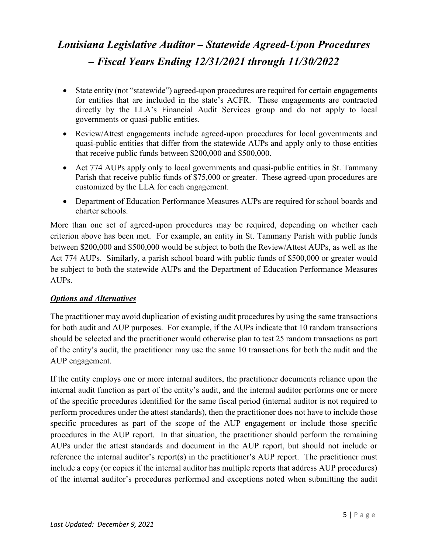- State entity (not "statewide") agreed-upon procedures are required for certain engagements for entities that are included in the state's ACFR. These engagements are contracted directly by the LLA's Financial Audit Services group and do not apply to local governments or quasi-public entities.
- Review/Attest engagements include agreed-upon procedures for local governments and quasi-public entities that differ from the statewide AUPs and apply only to those entities that receive public funds between \$200,000 and \$500,000.
- Act 774 AUPs apply only to local governments and quasi-public entities in St. Tammany Parish that receive public funds of \$75,000 or greater. These agreed-upon procedures are customized by the LLA for each engagement.
- Department of Education Performance Measures AUPs are required for school boards and charter schools.

More than one set of agreed-upon procedures may be required, depending on whether each criterion above has been met. For example, an entity in St. Tammany Parish with public funds between \$200,000 and \$500,000 would be subject to both the Review/Attest AUPs, as well as the Act 774 AUPs. Similarly, a parish school board with public funds of \$500,000 or greater would be subject to both the statewide AUPs and the Department of Education Performance Measures AUPs.

### *Options and Alternatives*

The practitioner may avoid duplication of existing audit procedures by using the same transactions for both audit and AUP purposes. For example, if the AUPs indicate that 10 random transactions should be selected and the practitioner would otherwise plan to test 25 random transactions as part of the entity's audit, the practitioner may use the same 10 transactions for both the audit and the AUP engagement.

If the entity employs one or more internal auditors, the practitioner documents reliance upon the internal audit function as part of the entity's audit, and the internal auditor performs one or more of the specific procedures identified for the same fiscal period (internal auditor is not required to perform procedures under the attest standards), then the practitioner does not have to include those specific procedures as part of the scope of the AUP engagement or include those specific procedures in the AUP report. In that situation, the practitioner should perform the remaining AUPs under the attest standards and document in the AUP report, but should not include or reference the internal auditor's report(s) in the practitioner's AUP report. The practitioner must include a copy (or copies if the internal auditor has multiple reports that address AUP procedures) of the internal auditor's procedures performed and exceptions noted when submitting the audit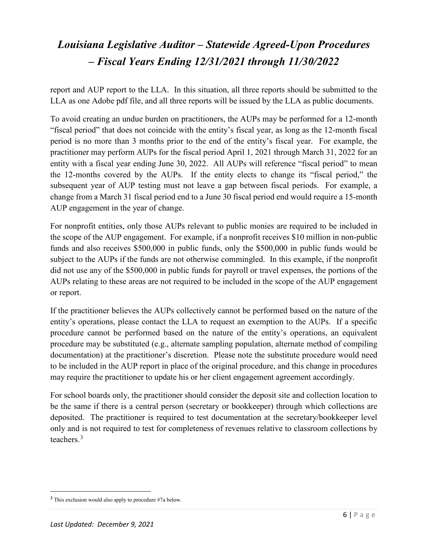report and AUP report to the LLA. In this situation, all three reports should be submitted to the LLA as one Adobe pdf file, and all three reports will be issued by the LLA as public documents.

To avoid creating an undue burden on practitioners, the AUPs may be performed for a 12-month "fiscal period" that does not coincide with the entity's fiscal year, as long as the 12-month fiscal period is no more than 3 months prior to the end of the entity's fiscal year. For example, the practitioner may perform AUPs for the fiscal period April 1, 2021 through March 31, 2022 for an entity with a fiscal year ending June 30, 2022. All AUPs will reference "fiscal period" to mean the 12-months covered by the AUPs. If the entity elects to change its "fiscal period," the subsequent year of AUP testing must not leave a gap between fiscal periods. For example, a change from a March 31 fiscal period end to a June 30 fiscal period end would require a 15-month AUP engagement in the year of change.

For nonprofit entities, only those AUPs relevant to public monies are required to be included in the scope of the AUP engagement. For example, if a nonprofit receives \$10 million in non-public funds and also receives \$500,000 in public funds, only the \$500,000 in public funds would be subject to the AUPs if the funds are not otherwise commingled. In this example, if the nonprofit did not use any of the \$500,000 in public funds for payroll or travel expenses, the portions of the AUPs relating to these areas are not required to be included in the scope of the AUP engagement or report.

If the practitioner believes the AUPs collectively cannot be performed based on the nature of the entity's operations, please contact the LLA to request an exemption to the AUPs. If a specific procedure cannot be performed based on the nature of the entity's operations, an equivalent procedure may be substituted (e.g., alternate sampling population, alternate method of compiling documentation) at the practitioner's discretion. Please note the substitute procedure would need to be included in the AUP report in place of the original procedure, and this change in procedures may require the practitioner to update his or her client engagement agreement accordingly.

For school boards only, the practitioner should consider the deposit site and collection location to be the same if there is a central person (secretary or bookkeeper) through which collections are deposited. The practitioner is required to test documentation at the secretary/bookkeeper level only and is not required to test for completeness of revenues relative to classroom collections by teachers.[3](#page-5-0)

<span id="page-5-0"></span> <sup>3</sup> This exclusion would also apply to procedure #7a below.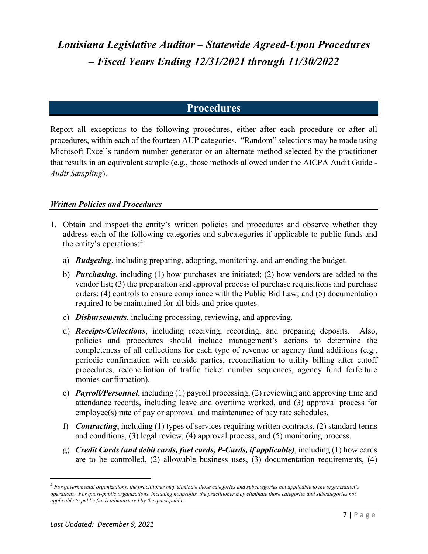### **Procedures**

Report all exceptions to the following procedures, either after each procedure or after all procedures, within each of the fourteen AUP categories. "Random" selections may be made using Microsoft Excel's random number generator or an alternate method selected by the practitioner that results in an equivalent sample (e.g., those methods allowed under the AICPA Audit Guide - *Audit Sampling*).

#### *Written Policies and Procedures*

- 1. Obtain and inspect the entity's written policies and procedures and observe whether they address each of the following categories and subcategories if applicable to public funds and the entity's operations: [4](#page-6-0)
	- a) *Budgeting*, including preparing, adopting, monitoring, and amending the budget.
	- b) *Purchasing*, including (1) how purchases are initiated; (2) how vendors are added to the vendor list; (3) the preparation and approval process of purchase requisitions and purchase orders; (4) controls to ensure compliance with the Public Bid Law; and (5) documentation required to be maintained for all bids and price quotes.
	- c) *Disbursements*, including processing, reviewing, and approving.
	- d) *Receipts/Collections*, including receiving, recording, and preparing deposits. Also, policies and procedures should include management's actions to determine the completeness of all collections for each type of revenue or agency fund additions (e.g., periodic confirmation with outside parties, reconciliation to utility billing after cutoff procedures, reconciliation of traffic ticket number sequences, agency fund forfeiture monies confirmation).
	- e) *Payroll/Personnel*, including (1) payroll processing, (2) reviewing and approving time and attendance records, including leave and overtime worked, and (3) approval process for employee(s) rate of pay or approval and maintenance of pay rate schedules.
	- f) *Contracting*, including (1) types of services requiring written contracts, (2) standard terms and conditions, (3) legal review, (4) approval process, and (5) monitoring process.
	- g) *Credit Cards (and debit cards, fuel cards, P-Cards, if applicable)*, including (1) how cards are to be controlled, (2) allowable business uses, (3) documentation requirements, (4)

<span id="page-6-0"></span> <sup>4</sup> *For governmental organizations, the practitioner may eliminate those categories and subcategories not applicable to the organization's operations. For quasi-public organizations, including nonprofits, the practitioner may eliminate those categories and subcategories not applicable to public funds administered by the quasi-public*.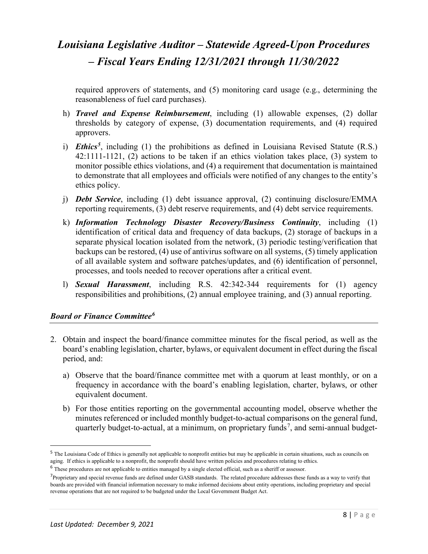required approvers of statements, and (5) monitoring card usage (e.g., determining the reasonableness of fuel card purchases).

- h) *Travel and Expense Reimbursement*, including (1) allowable expenses, (2) dollar thresholds by category of expense, (3) documentation requirements, and (4) required approvers.
- i) *Ethics[5](#page-7-0)*, including (1) the prohibitions as defined in Louisiana Revised Statute (R.S.) 42:1111-1121, (2) actions to be taken if an ethics violation takes place, (3) system to monitor possible ethics violations, and (4) a requirement that documentation is maintained to demonstrate that all employees and officials were notified of any changes to the entity's ethics policy.
- j) *Debt Service*, including (1) debt issuance approval, (2) continuing disclosure/EMMA reporting requirements, (3) debt reserve requirements, and (4) debt service requirements.
- k) *Information Technology Disaster Recovery/Business Continuity*, including (1) identification of critical data and frequency of data backups, (2) storage of backups in a separate physical location isolated from the network, (3) periodic testing/verification that backups can be restored, (4) use of antivirus software on all systems, (5) timely application of all available system and software patches/updates, and (6) identification of personnel, processes, and tools needed to recover operations after a critical event.
- l) *Sexual Harassment*, including R.S. 42:342-344 requirements for (1) agency responsibilities and prohibitions, (2) annual employee training, and (3) annual reporting.

#### *Board or Finance Committee[6](#page-7-1)*

- 2. Obtain and inspect the board/finance committee minutes for the fiscal period, as well as the board's enabling legislation, charter, bylaws, or equivalent document in effect during the fiscal period, and:
	- a) Observe that the board/finance committee met with a quorum at least monthly, or on a frequency in accordance with the board's enabling legislation, charter, bylaws, or other equivalent document.
	- b) For those entities reporting on the governmental accounting model, observe whether the minutes referenced or included monthly budget-to-actual comparisons on the general fund, quarterly budget-to-actual, at a minimum, on proprietary funds<sup>[7](#page-7-2)</sup>, and semi-annual budget-

<span id="page-7-0"></span><sup>&</sup>lt;sup>5</sup> The Louisiana Code of Ethics is generally not applicable to nonprofit entities but may be applicable in certain situations, such as councils on aging. If ethics is applicable to a nonprofit, the nonprofit should have written policies and procedures relating to ethics.

<span id="page-7-2"></span><span id="page-7-1"></span><sup>6</sup> These procedures are not applicable to entities managed by a single elected official, such as a sheriff or assessor.

<sup>&</sup>lt;sup>7</sup>Proprietary and special revenue funds are defined under GASB standards. The related procedure addresses these funds as a way to verify that boards are provided with financial information necessary to make informed decisions about entity operations, including proprietary and special revenue operations that are not required to be budgeted under the Local Government Budget Act.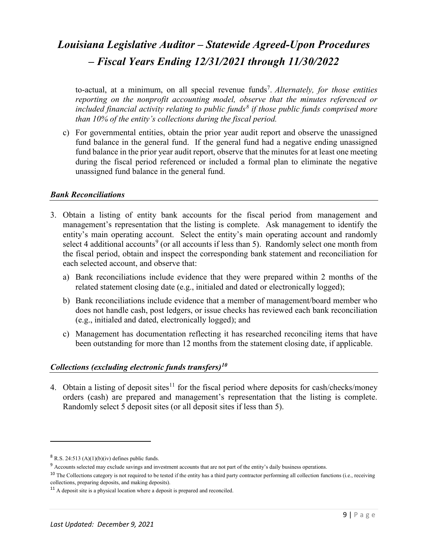to-actual, at a minimum, on all special revenue funds<sup>7</sup>. Alternately, for those entities *reporting on the nonprofit accounting model, observe that the minutes referenced or included financial activity relating to public funds[8](#page-8-0) if those public funds comprised more than 10% of the entity's collections during the fiscal period.*

c) For governmental entities, obtain the prior year audit report and observe the unassigned fund balance in the general fund. If the general fund had a negative ending unassigned fund balance in the prior year audit report, observe that the minutes for at least one meeting during the fiscal period referenced or included a formal plan to eliminate the negative unassigned fund balance in the general fund.

#### *Bank Reconciliations*

- 3. Obtain a listing of entity bank accounts for the fiscal period from management and management's representation that the listing is complete. Ask management to identify the entity's main operating account. Select the entity's main operating account and randomly select 4 additional accounts<sup>[9](#page-8-1)</sup> (or all accounts if less than 5). Randomly select one month from the fiscal period, obtain and inspect the corresponding bank statement and reconciliation for each selected account, and observe that:
	- a) Bank reconciliations include evidence that they were prepared within 2 months of the related statement closing date (e.g., initialed and dated or electronically logged);
	- b) Bank reconciliations include evidence that a member of management/board member who does not handle cash, post ledgers, or issue checks has reviewed each bank reconciliation (e.g., initialed and dated, electronically logged); and
	- c) Management has documentation reflecting it has researched reconciling items that have been outstanding for more than 12 months from the statement closing date, if applicable.

#### *Collections (excluding electronic funds transfers)[10](#page-8-2)*

4. Obtain a listing of deposit sites<sup>[11](#page-8-3)</sup> for the fiscal period where deposits for cash/checks/money orders (cash) are prepared and management's representation that the listing is complete. Randomly select 5 deposit sites (or all deposit sites if less than 5).

 $\overline{a}$ 

<span id="page-8-0"></span> $8$  R.S. 24:513 (A)(1)(b)(iv) defines public funds.

<span id="page-8-1"></span><sup>&</sup>lt;sup>9</sup> Accounts selected may exclude savings and investment accounts that are not part of the entity's daily business operations.

<span id="page-8-2"></span> $10$  The Collections category is not required to be tested if the entity has a third party contractor performing all collection functions (i.e., receiving collections, preparing deposits, and making deposits).

<span id="page-8-3"></span><sup>&</sup>lt;sup>11</sup> A deposit site is a physical location where a deposit is prepared and reconciled.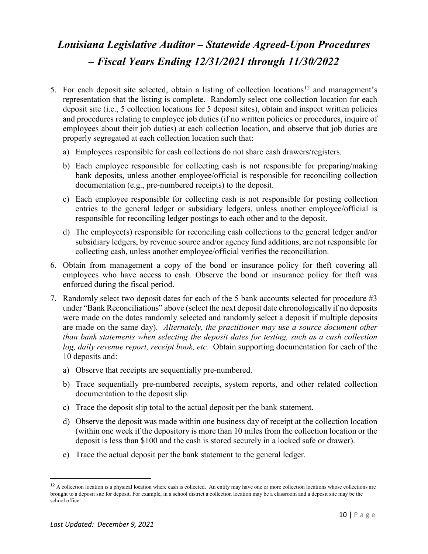- 5. For each deposit site selected, obtain a listing of collection locations<sup>[12](#page-9-0)</sup> and management's representation that the listing is complete. Randomly select one collection location for each deposit site (i.e., 5 collection locations for 5 deposit sites), obtain and inspect written policies and procedures relating to employee job duties (if no written policies or procedures, inquire of employees about their job duties) at each collection location, and observe that job duties are properly segregated at each collection location such that:
	- a) Employees responsible for cash collections do not share cash drawers/registers.
	- b) Each employee responsible for collecting cash is not responsible for preparing/making bank deposits, unless another employee/official is responsible for reconciling collection documentation (e.g., pre-numbered receipts) to the deposit.
	- c) Each employee responsible for collecting cash is not responsible for posting collection entries to the general ledger or subsidiary ledgers, unless another employee/official is responsible for reconciling ledger postings to each other and to the deposit.
	- d) The employee(s) responsible for reconciling cash collections to the general ledger and/or subsidiary ledgers, by revenue source and/or agency fund additions, are not responsible for collecting cash, unless another employee/official verifies the reconciliation.
- 6. Obtain from management a copy of the bond or insurance policy for theft covering all employees who have access to cash. Observe the bond or insurance policy for theft was enforced during the fiscal period.
- 7. Randomly select two deposit dates for each of the 5 bank accounts selected for procedure #3 under "Bank Reconciliations" above (select the next deposit date chronologically if no deposits were made on the dates randomly selected and randomly select a deposit if multiple deposits are made on the same day). *Alternately, the practitioner may use a source document other than bank statements when selecting the deposit dates for testing, such as a cash collection log, daily revenue report, receipt book, etc.* Obtain supporting documentation for each of the 10 deposits and:
	- a) Observe that receipts are sequentially pre-numbered.
	- b) Trace sequentially pre-numbered receipts, system reports, and other related collection documentation to the deposit slip.
	- c) Trace the deposit slip total to the actual deposit per the bank statement.
	- d) Observe the deposit was made within one business day of receipt at the collection location (within one week if the depository is more than 10 miles from the collection location or the deposit is less than \$100 and the cash is stored securely in a locked safe or drawer).
	- e) Trace the actual deposit per the bank statement to the general ledger.

<span id="page-9-0"></span><sup>&</sup>lt;sup>12</sup> A collection location is a physical location where cash is collected. An entity may have one or more collection locations whose collections are brought to a deposit site for deposit. For example, in a school district a collection location may be a classroom and a deposit site may be the school office.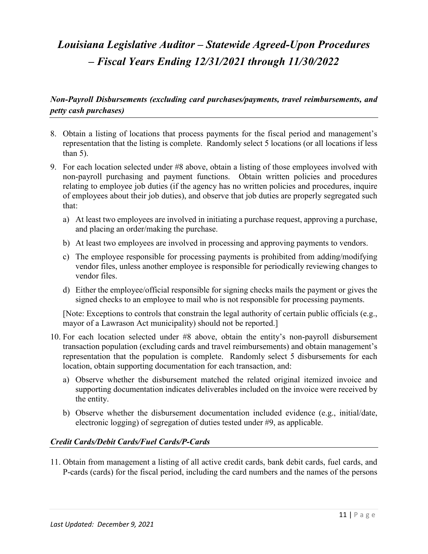### *Non-Payroll Disbursements (excluding card purchases/payments, travel reimbursements, and petty cash purchases)*

- 8. Obtain a listing of locations that process payments for the fiscal period and management's representation that the listing is complete. Randomly select 5 locations (or all locations if less than  $5$ ).
- 9. For each location selected under #8 above, obtain a listing of those employees involved with non-payroll purchasing and payment functions. Obtain written policies and procedures relating to employee job duties (if the agency has no written policies and procedures, inquire of employees about their job duties), and observe that job duties are properly segregated such that:
	- a) At least two employees are involved in initiating a purchase request, approving a purchase, and placing an order/making the purchase.
	- b) At least two employees are involved in processing and approving payments to vendors.
	- c) The employee responsible for processing payments is prohibited from adding/modifying vendor files, unless another employee is responsible for periodically reviewing changes to vendor files.
	- d) Either the employee/official responsible for signing checks mails the payment or gives the signed checks to an employee to mail who is not responsible for processing payments.

[Note: Exceptions to controls that constrain the legal authority of certain public officials (e.g., mayor of a Lawrason Act municipality) should not be reported.]

- 10. For each location selected under #8 above, obtain the entity's non-payroll disbursement transaction population (excluding cards and travel reimbursements) and obtain management's representation that the population is complete. Randomly select 5 disbursements for each location, obtain supporting documentation for each transaction, and:
	- a) Observe whether the disbursement matched the related original itemized invoice and supporting documentation indicates deliverables included on the invoice were received by the entity.
	- b) Observe whether the disbursement documentation included evidence (e.g., initial/date, electronic logging) of segregation of duties tested under #9, as applicable.

#### *Credit Cards/Debit Cards/Fuel Cards/P-Cards*

11. Obtain from management a listing of all active credit cards, bank debit cards, fuel cards, and P-cards (cards) for the fiscal period, including the card numbers and the names of the persons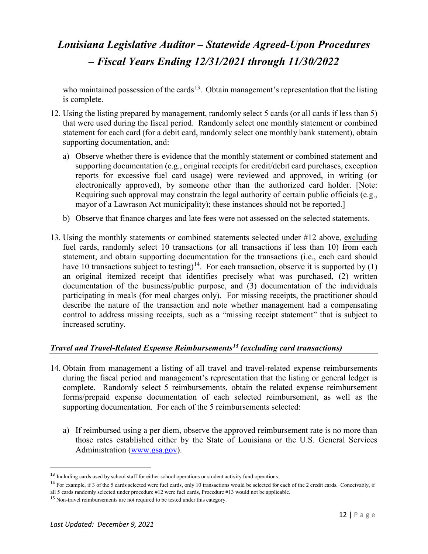who maintained possession of the cards<sup>[13](#page-11-0)</sup>. Obtain management's representation that the listing is complete.

- 12. Using the listing prepared by management, randomly select 5 cards (or all cards if less than 5) that were used during the fiscal period. Randomly select one monthly statement or combined statement for each card (for a debit card, randomly select one monthly bank statement), obtain supporting documentation, and:
	- a) Observe whether there is evidence that the monthly statement or combined statement and supporting documentation (e.g., original receipts for credit/debit card purchases, exception reports for excessive fuel card usage) were reviewed and approved, in writing (or electronically approved), by someone other than the authorized card holder. [Note: Requiring such approval may constrain the legal authority of certain public officials (e.g., mayor of a Lawrason Act municipality); these instances should not be reported.]
	- b) Observe that finance charges and late fees were not assessed on the selected statements.
- 13. Using the monthly statements or combined statements selected under #12 above, excluding fuel cards, randomly select 10 transactions (or all transactions if less than 10) from each statement, and obtain supporting documentation for the transactions (i.e., each card should have 10 transactions subject to testing)<sup>14</sup>. For each transaction, observe it is supported by (1) an original itemized receipt that identifies precisely what was purchased, (2) written documentation of the business/public purpose, and (3) documentation of the individuals participating in meals (for meal charges only). For missing receipts, the practitioner should describe the nature of the transaction and note whether management had a compensating control to address missing receipts, such as a "missing receipt statement" that is subject to increased scrutiny.

#### *Travel and Travel-Related Expense Reimbursements[15](#page-11-2) (excluding card transactions)*

- 14. Obtain from management a listing of all travel and travel-related expense reimbursements during the fiscal period and management's representation that the listing or general ledger is complete. Randomly select 5 reimbursements, obtain the related expense reimbursement forms/prepaid expense documentation of each selected reimbursement, as well as the supporting documentation. For each of the 5 reimbursements selected:
	- a) If reimbursed using a per diem, observe the approved reimbursement rate is no more than those rates established either by the State of Louisiana or the U.S. General Services Administration [\(www.gsa.gov\)](http://www.gsa.gov/).

<span id="page-11-0"></span><sup>&</sup>lt;sup>13</sup> Including cards used by school staff for either school operations or student activity fund operations.

<span id="page-11-1"></span><sup>14</sup> For example, if 3 of the 5 cards selected were fuel cards, only 10 transactions would be selected for each of the 2 credit cards. Conceivably, if all 5 cards randomly selected under procedure #12 were fuel cards, Procedure #13 would not be applicable.

<span id="page-11-2"></span><sup>&</sup>lt;sup>15</sup> Non-travel reimbursements are not required to be tested under this category.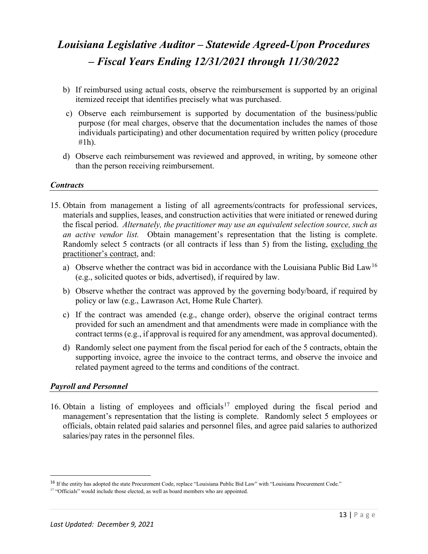- b) If reimbursed using actual costs, observe the reimbursement is supported by an original itemized receipt that identifies precisely what was purchased.
- c) Observe each reimbursement is supported by documentation of the business/public purpose (for meal charges, observe that the documentation includes the names of those individuals participating) and other documentation required by written policy (procedure #1h).
- d) Observe each reimbursement was reviewed and approved, in writing, by someone other than the person receiving reimbursement.

#### *Contracts*

- 15. Obtain from management a listing of all agreements/contracts for professional services, materials and supplies, leases, and construction activities that were initiated or renewed during the fiscal period. *Alternately, the practitioner may use an equivalent selection source, such as an active vendor list.* Obtain management's representation that the listing is complete. Randomly select 5 contracts (or all contracts if less than 5) from the listing, excluding the practitioner's contract, and:
	- a) Observe whether the contract was bid in accordance with the Louisiana Public Bid Law<sup>[16](#page-12-0)</sup> (e.g., solicited quotes or bids, advertised), if required by law.
	- b) Observe whether the contract was approved by the governing body/board, if required by policy or law (e.g., Lawrason Act, Home Rule Charter).
	- c) If the contract was amended (e.g., change order), observe the original contract terms provided for such an amendment and that amendments were made in compliance with the contract terms (e.g., if approval is required for any amendment, was approval documented).
	- d) Randomly select one payment from the fiscal period for each of the 5 contracts, obtain the supporting invoice, agree the invoice to the contract terms, and observe the invoice and related payment agreed to the terms and conditions of the contract.

#### *Payroll and Personnel*

16. Obtain a listing of employees and officials<sup>[17](#page-12-1)</sup> employed during the fiscal period and management's representation that the listing is complete. Randomly select 5 employees or officials, obtain related paid salaries and personnel files, and agree paid salaries to authorized salaries/pay rates in the personnel files.

<span id="page-12-0"></span><sup>&</sup>lt;sup>16</sup> If the entity has adopted the state Procurement Code, replace "Louisiana Public Bid Law" with "Louisiana Procurement Code."

<span id="page-12-1"></span><sup>&</sup>lt;sup>17</sup> "Officials" would include those elected, as well as board members who are appointed.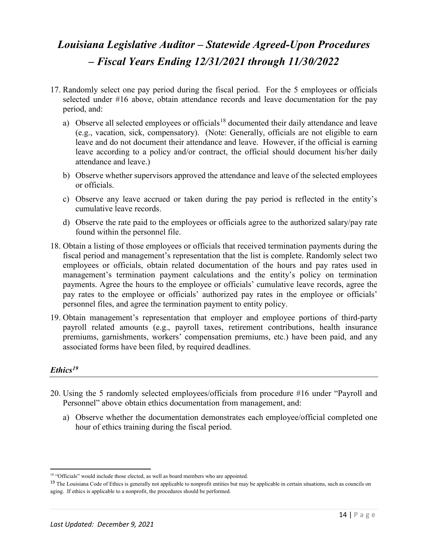- 17. Randomly select one pay period during the fiscal period. For the 5 employees or officials selected under #16 above, obtain attendance records and leave documentation for the pay period, and:
	- a) Observe all selected employees or officials<sup>[18](#page-13-0)</sup> documented their daily attendance and leave (e.g., vacation, sick, compensatory). (Note: Generally, officials are not eligible to earn leave and do not document their attendance and leave. However, if the official is earning leave according to a policy and/or contract, the official should document his/her daily attendance and leave.)
	- b) Observe whether supervisors approved the attendance and leave of the selected employees or officials.
	- c) Observe any leave accrued or taken during the pay period is reflected in the entity's cumulative leave records.
	- d) Observe the rate paid to the employees or officials agree to the authorized salary/pay rate found within the personnel file.
- 18. Obtain a listing of those employees or officials that received termination payments during the fiscal period and management's representation that the list is complete. Randomly select two employees or officials, obtain related documentation of the hours and pay rates used in management's termination payment calculations and the entity's policy on termination payments. Agree the hours to the employee or officials' cumulative leave records, agree the pay rates to the employee or officials' authorized pay rates in the employee or officials' personnel files, and agree the termination payment to entity policy.
- 19. Obtain management's representation that employer and employee portions of third-party payroll related amounts (e.g., payroll taxes, retirement contributions, health insurance premiums, garnishments, workers' compensation premiums, etc.) have been paid, and any associated forms have been filed, by required deadlines.

#### *Ethics[19](#page-13-1)*

l

- 20. Using the 5 randomly selected employees/officials from procedure #16 under "Payroll and Personnel" above obtain ethics documentation from management, and:
	- a) Observe whether the documentation demonstrates each employee/official completed one hour of ethics training during the fiscal period.

<sup>&</sup>lt;sup>18</sup> "Officials" would include those elected, as well as board members who are appointed.

<span id="page-13-1"></span><span id="page-13-0"></span><sup>&</sup>lt;sup>19</sup> The Louisiana Code of Ethics is generally not applicable to nonprofit entities but may be applicable in certain situations, such as councils on aging. If ethics is applicable to a nonprofit, the procedures should be performed.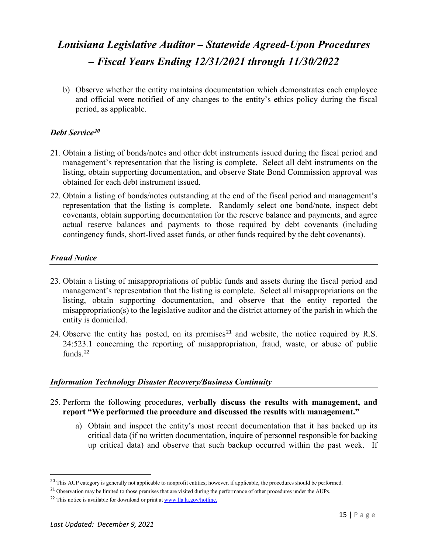b) Observe whether the entity maintains documentation which demonstrates each employee and official were notified of any changes to the entity's ethics policy during the fiscal period, as applicable.

#### *Debt Service[20](#page-14-0)*

- 21. Obtain a listing of bonds/notes and other debt instruments issued during the fiscal period and management's representation that the listing is complete. Select all debt instruments on the listing, obtain supporting documentation, and observe State Bond Commission approval was obtained for each debt instrument issued.
- 22. Obtain a listing of bonds/notes outstanding at the end of the fiscal period and management's representation that the listing is complete. Randomly select one bond/note, inspect debt covenants, obtain supporting documentation for the reserve balance and payments, and agree actual reserve balances and payments to those required by debt covenants (including contingency funds, short-lived asset funds, or other funds required by the debt covenants).

#### *Fraud Notice*

- 23. Obtain a listing of misappropriations of public funds and assets during the fiscal period and management's representation that the listing is complete. Select all misappropriations on the listing, obtain supporting documentation, and observe that the entity reported the misappropriation(s) to the legislative auditor and the district attorney of the parish in which the entity is domiciled.
- 24. Observe the entity has posted, on its premises<sup>[21](#page-14-1)</sup> and website, the notice required by R.S. 24:523.1 concerning the reporting of misappropriation, fraud, waste, or abuse of public funds. $22$

#### *Information Technology Disaster Recovery/Business Continuity*

- 25. Perform the following procedures, **verbally discuss the results with management, and report "We performed the procedure and discussed the results with management."**
	- a) Obtain and inspect the entity's most recent documentation that it has backed up its critical data (if no written documentation, inquire of personnel responsible for backing up critical data) and observe that such backup occurred within the past week. If

<span id="page-14-0"></span><sup>&</sup>lt;sup>20</sup> This AUP category is generally not applicable to nonprofit entities; however, if applicable, the procedures should be performed.

<span id="page-14-1"></span><sup>&</sup>lt;sup>21</sup> Observation may be limited to those premises that are visited during the performance of other procedures under the AUPs.

<span id="page-14-2"></span><sup>&</sup>lt;sup>22</sup> This notice is available for download or print a[t www.lla.la.gov/hotline.](http://www.lla.la.gov/hotline)